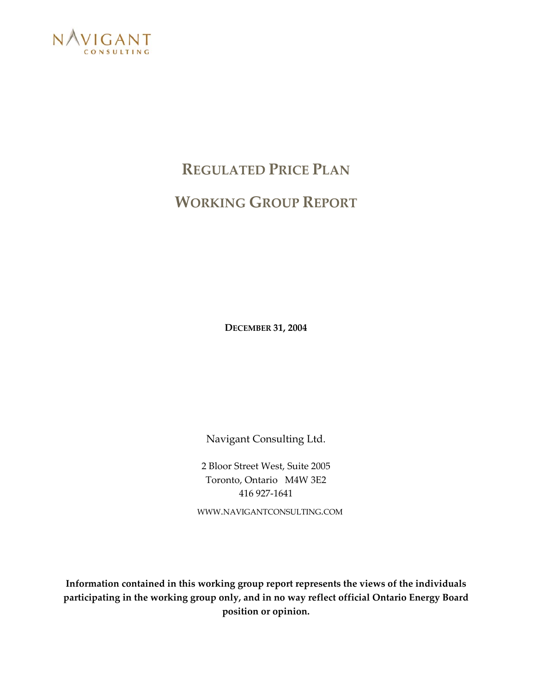

# **REGULATED PRICE PLAN WORKING GROUP REPORT**

**DECEMBER 31, 2004** 

Navigant Consulting Ltd.

2 Bloor Street West, Suite 2005 Toronto, Ontario M4W 3E2 416 927-1641

WWW.NAVIGANTCONSULTING.COM

**Information contained in this working group report represents the views of the individuals participating in the working group only, and in no way reflect official Ontario Energy Board position or opinion.**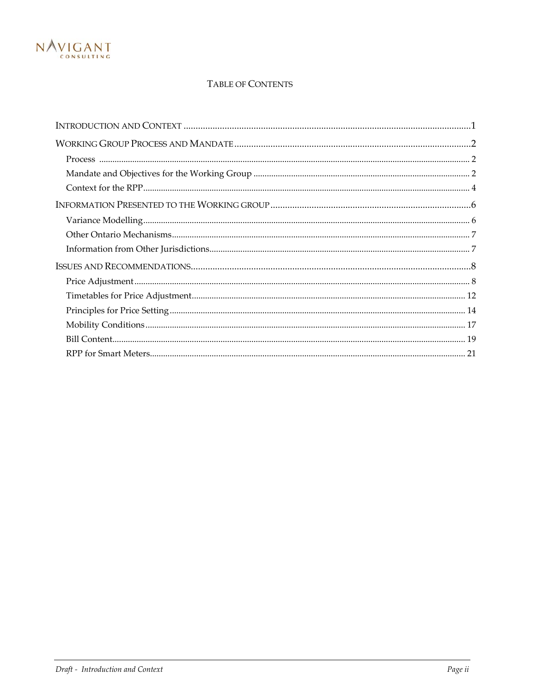

#### TABLE OF CONTENTS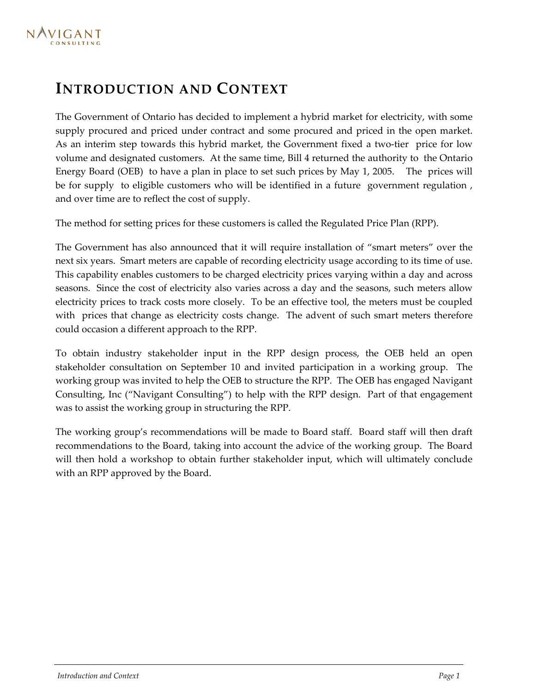## <span id="page-2-0"></span>**INTRODUCTION AND CONTEXT**

The Government of Ontario has decided to implement a hybrid market for electricity, with some supply procured and priced under contract and some procured and priced in the open market. As an interim step towards this hybrid market, the Government fixed a two-tier price for low volume and designated customers. At the same time, Bill 4 returned the authority to the Ontario Energy Board (OEB) to have a plan in place to set such prices by May 1, 2005. The prices will be for supply to eligible customers who will be identified in a future government regulation , and over time are to reflect the cost of supply.

The method for setting prices for these customers is called the Regulated Price Plan (RPP).

The Government has also announced that it will require installation of "smart meters" over the next six years. Smart meters are capable of recording electricity usage according to its time of use. This capability enables customers to be charged electricity prices varying within a day and across seasons. Since the cost of electricity also varies across a day and the seasons, such meters allow electricity prices to track costs more closely. To be an effective tool, the meters must be coupled with prices that change as electricity costs change. The advent of such smart meters therefore could occasion a different approach to the RPP.

To obtain industry stakeholder input in the RPP design process, the OEB held an open stakeholder consultation on September 10 and invited participation in a working group. The working group was invited to help the OEB to structure the RPP. The OEB has engaged Navigant Consulting, Inc ("Navigant Consulting") to help with the RPP design. Part of that engagement was to assist the working group in structuring the RPP.

The working group's recommendations will be made to Board staff. Board staff will then draft recommendations to the Board, taking into account the advice of the working group. The Board will then hold a workshop to obtain further stakeholder input, which will ultimately conclude with an RPP approved by the Board.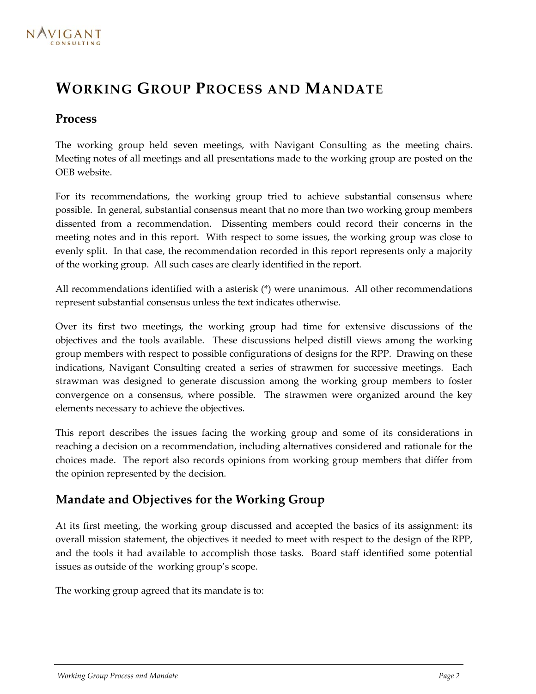## <span id="page-3-0"></span>**WORKING GROUP PROCESS AND MANDATE**

### **Process**

The working group held seven meetings, with Navigant Consulting as the meeting chairs. Meeting notes of all meetings and all presentations made to the working group are posted on the OEB website.

For its recommendations, the working group tried to achieve substantial consensus where possible. In general, substantial consensus meant that no more than two working group members dissented from a recommendation. Dissenting members could record their concerns in the meeting notes and in this report. With respect to some issues, the working group was close to evenly split. In that case, the recommendation recorded in this report represents only a majority of the working group. All such cases are clearly identified in the report.

All recommendations identified with a asterisk (\*) were unanimous. All other recommendations represent substantial consensus unless the text indicates otherwise.

Over its first two meetings, the working group had time for extensive discussions of the objectives and the tools available. These discussions helped distill views among the working group members with respect to possible configurations of designs for the RPP. Drawing on these indications, Navigant Consulting created a series of strawmen for successive meetings. Each strawman was designed to generate discussion among the working group members to foster convergence on a consensus, where possible. The strawmen were organized around the key elements necessary to achieve the objectives.

This report describes the issues facing the working group and some of its considerations in reaching a decision on a recommendation, including alternatives considered and rationale for the choices made. The report also records opinions from working group members that differ from the opinion represented by the decision.

## **Mandate and Objectives for the Working Group**

At its first meeting, the working group discussed and accepted the basics of its assignment: its overall mission statement, the objectives it needed to meet with respect to the design of the RPP, and the tools it had available to accomplish those tasks. Board staff identified some potential issues as outside of the working group's scope.

The working group agreed that its mandate is to: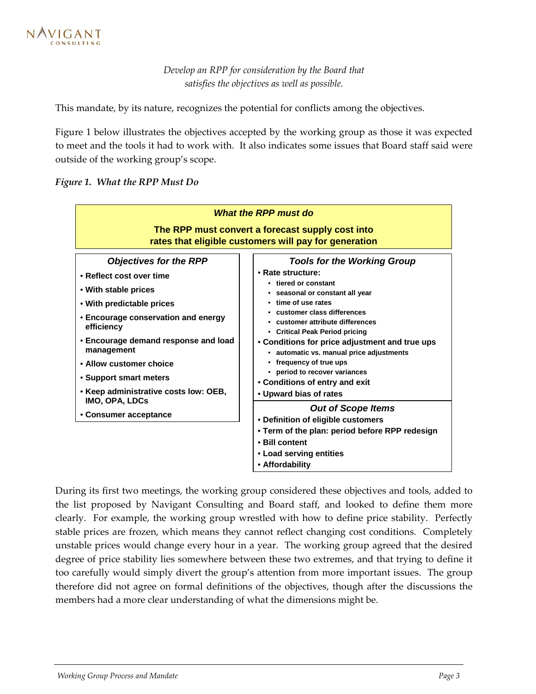*Develop an RPP for consideration by the Board that satisfies the objectives as well as possible.*

This mandate, by its nature, recognizes the potential for conflicts among the objectives.

[Figure 1](#page-4-0) below illustrates the objectives accepted by the working group as those it was expected to meet and the tools it had to work with. It also indicates some issues that Board staff said were outside of the working group's scope.

<span id="page-4-0"></span>



During its first two meetings, the working group considered these objectives and tools, added to the list proposed by Navigant Consulting and Board staff, and looked to define them more clearly. For example, the working group wrestled with how to define price stability. Perfectly stable prices are frozen, which means they cannot reflect changing cost conditions. Completely unstable prices would change every hour in a year. The working group agreed that the desired degree of price stability lies somewhere between these two extremes, and that trying to define it too carefully would simply divert the group's attention from more important issues. The group therefore did not agree on formal definitions of the objectives, though after the discussions the members had a more clear understanding of what the dimensions might be.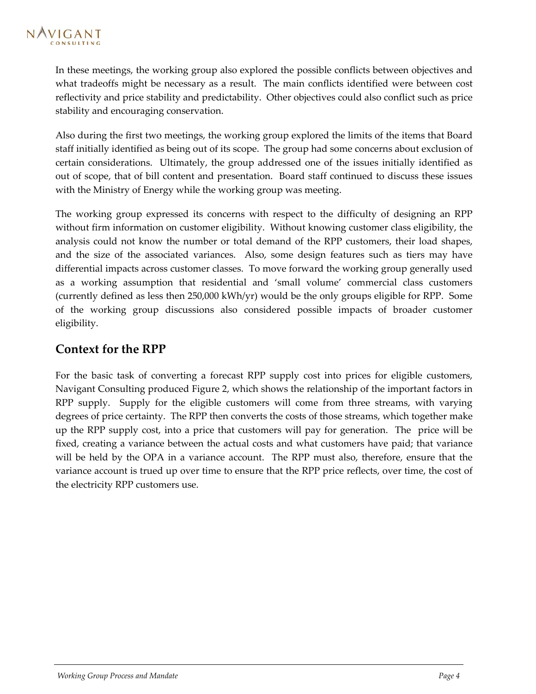<span id="page-5-0"></span>In these meetings, the working group also explored the possible conflicts between objectives and what tradeoffs might be necessary as a result. The main conflicts identified were between cost reflectivity and price stability and predictability. Other objectives could also conflict such as price stability and encouraging conservation.

Also during the first two meetings, the working group explored the limits of the items that Board staff initially identified as being out of its scope. The group had some concerns about exclusion of certain considerations. Ultimately, the group addressed one of the issues initially identified as out of scope, that of bill content and presentation. Board staff continued to discuss these issues with the Ministry of Energy while the working group was meeting.

The working group expressed its concerns with respect to the difficulty of designing an RPP without firm information on customer eligibility. Without knowing customer class eligibility, the analysis could not know the number or total demand of the RPP customers, their load shapes, and the size of the associated variances. Also, some design features such as tiers may have differential impacts across customer classes. To move forward the working group generally used as a working assumption that residential and 'small volume' commercial class customers (currently defined as less then 250,000 kWh/yr) would be the only groups eligible for RPP. Some of the working group discussions also considered possible impacts of broader customer eligibility.

## **Context for the RPP**

For the basic task of converting a forecast RPP supply cost into prices for eligible customers, Navigant Consulting produced Figure 2, which shows the relationship of the important factors in RPP supply. Supply for the [eligible c](#page-6-0)ustomers will come from three streams, with varying degrees of price certainty. The RPP then converts the costs of those streams, which together make up the RPP supply cost, into a price that customers will pay for generation. The price will be fixed, creating a variance between the actual costs and what customers have paid; that variance will be held by the OPA in a variance account. The RPP must also, therefore, ensure that the variance account is trued up over time to ensure that the RPP price reflects, over time, the cost of the electricity RPP customers use.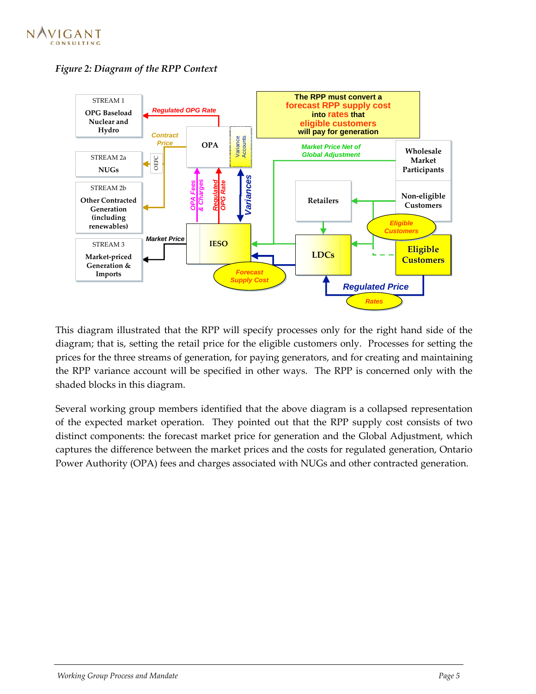

<span id="page-6-0"></span>*Figure 2: Diagram of the RPP Context* 



This diagram illustrated that the RPP will specify processes only for the right hand side of the diagram; that is, setting the retail price for the eligible customers only. Processes for setting the prices for the three streams of generation, for paying generators, and for creating and maintaining the RPP variance account will be specified in other ways. The RPP is concerned only with the shaded blocks in this diagram.

Several working group members identified that the above diagram is a collapsed representation of the expected market operation. They pointed out that the RPP supply cost consists of two distinct components: the forecast market price for generation and the Global Adjustment, which captures the difference between the market prices and the costs for regulated generation, Ontario Power Authority (OPA) fees and charges associated with NUGs and other contracted generation.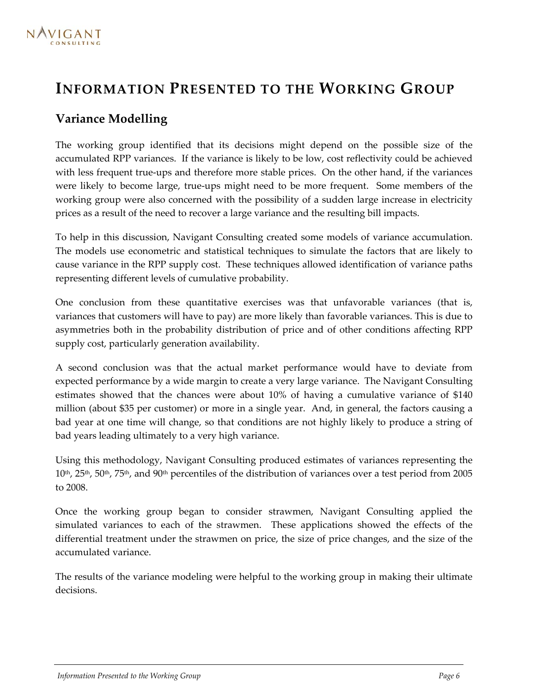## <span id="page-7-0"></span>**INFORMATION PRESENTED TO THE WORKING GROUP**

## **Variance Modelling**

The working group identified that its decisions might depend on the possible size of the accumulated RPP variances. If the variance is likely to be low, cost reflectivity could be achieved with less frequent true-ups and therefore more stable prices. On the other hand, if the variances were likely to become large, true-ups might need to be more frequent. Some members of the working group were also concerned with the possibility of a sudden large increase in electricity prices as a result of the need to recover a large variance and the resulting bill impacts.

To help in this discussion, Navigant Consulting created some models of variance accumulation. The models use econometric and statistical techniques to simulate the factors that are likely to cause variance in the RPP supply cost. These techniques allowed identification of variance paths representing different levels of cumulative probability.

One conclusion from these quantitative exercises was that unfavorable variances (that is, variances that customers will have to pay) are more likely than favorable variances. This is due to asymmetries both in the probability distribution of price and of other conditions affecting RPP supply cost, particularly generation availability.

A second conclusion was that the actual market performance would have to deviate from expected performance by a wide margin to create a very large variance. The Navigant Consulting estimates showed that the chances were about 10% of having a cumulative variance of \$140 million (about \$35 per customer) or more in a single year. And, in general, the factors causing a bad year at one time will change, so that conditions are not highly likely to produce a string of bad years leading ultimately to a very high variance.

Using this methodology, Navigant Consulting produced estimates of variances representing the  $10<sup>th</sup>$ ,  $25<sup>th</sup>$ ,  $50<sup>th</sup>$ ,  $75<sup>th</sup>$ , and  $90<sup>th</sup>$  percentiles of the distribution of variances over a test period from 2005 to 2008.

Once the working group began to consider strawmen, Navigant Consulting applied the simulated variances to each of the strawmen. These applications showed the effects of the differential treatment under the strawmen on price, the size of price changes, and the size of the accumulated variance.

The results of the variance modeling were helpful to the working group in making their ultimate decisions.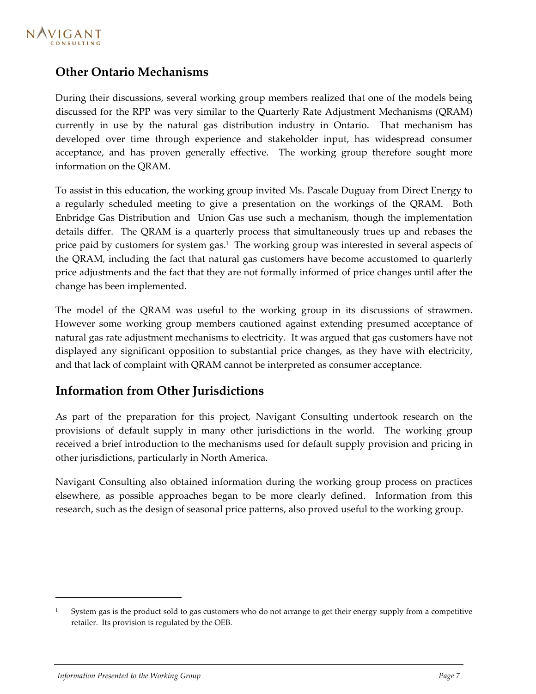<span id="page-8-0"></span>

## **Other Ontario Mechanisms**

During their discussions, several working group members realized that one of the models being discussed for the RPP was very similar to the Quarterly Rate Adjustment Mechanisms (QRAM) currently in use by the natural gas distribution industry in Ontario. That mechanism has developed over time through experience and stakeholder input, has widespread consumer acceptance, and has proven generally effective. The working group therefore sought more information on the QRAM.

To assist in this education, the working group invited Ms. Pascale Duguay from Direct Energy to a regularly scheduled meeting to give a presentation on the workings of the QRAM. Both Enbridge Gas Distribution and Union Gas use such a mechanism, though the implementation details differ. The QRAM is a quarterly process that simultaneously trues up and rebases the price paid by customers for system gas[.](#page-8-1)<sup>1</sup>The working group was interested in several aspects of the QRAM, including the fact that natural gas customers have become accustomed to quarterly price adjustments and the fact that they are not formally informed of price changes until after the change has been implemented.

The model of the QRAM was useful to the working group in its discussions of strawmen. However some working group members cautioned against extending presumed acceptance of natural gas rate adjustment mechanisms to electricity. It was argued that gas customers have not displayed any significant opposition to substantial price changes, as they have with electricity, and that lack of complaint with QRAM cannot be interpreted as consumer acceptance.

### **Information from Other Jurisdictions**

As part of the preparation for this project, Navigant Consulting undertook research on the provisions of default supply in many other jurisdictions in the world. The working group received a brief introduction to the mechanisms used for default supply provision and pricing in other jurisdictions, particularly in North America.

Navigant Consulting also obtained information during the working group process on practices elsewhere, as possible approaches began to be more clearly defined. Information from this research, such as the design of seasonal price patterns, also proved useful to the working group.

-

<span id="page-8-1"></span>System gas is the product sold to gas customers who do not arrange to get their energy supply from a competitive retailer. Its provision is regulated by the OEB.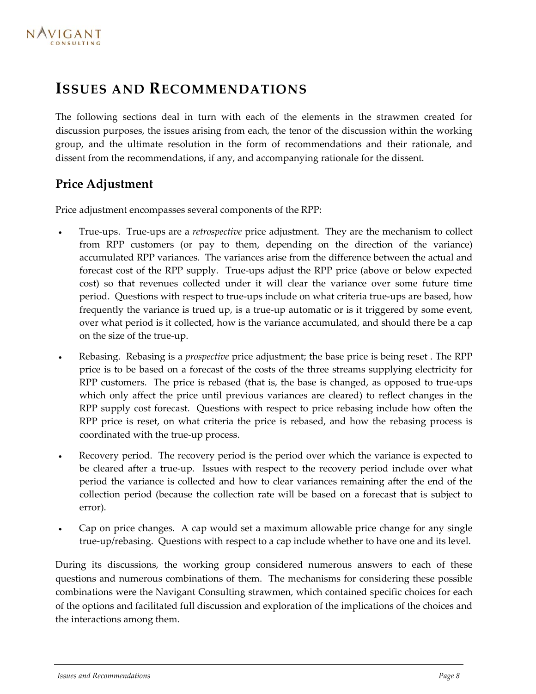## <span id="page-9-0"></span>**ISSUES AND RECOMMENDATIONS**

The following sections deal in turn with each of the elements in the strawmen created for discussion purposes, the issues arising from each, the tenor of the discussion within the working group, and the ultimate resolution in the form of recommendations and their rationale, and dissent from the recommendations, if any, and accompanying rationale for the dissent.

## **Price Adjustment**

Price adjustment encompasses several components of the RPP:

- True-ups. True-ups are a *retrospective* price adjustment. They are the mechanism to collect from RPP customers (or pay to them, depending on the direction of the variance) accumulated RPP variances. The variances arise from the difference between the actual and forecast cost of the RPP supply. True-ups adjust the RPP price (above or below expected cost) so that revenues collected under it will clear the variance over some future time period. Questions with respect to true-ups include on what criteria true-ups are based, how frequently the variance is trued up, is a true-up automatic or is it triggered by some event, over what period is it collected, how is the variance accumulated, and should there be a cap on the size of the true-up.
- Rebasing. Rebasing is a *prospective* price adjustment; the base price is being reset . The RPP price is to be based on a forecast of the costs of the three streams supplying electricity for RPP customers. The price is rebased (that is, the base is changed, as opposed to true-ups which only affect the price until previous variances are cleared) to reflect changes in the RPP supply cost forecast. Questions with respect to price rebasing include how often the RPP price is reset, on what criteria the price is rebased, and how the rebasing process is coordinated with the true-up process.
- Recovery period. The recovery period is the period over which the variance is expected to be cleared after a true-up. Issues with respect to the recovery period include over what period the variance is collected and how to clear variances remaining after the end of the collection period (because the collection rate will be based on a forecast that is subject to error).
- Cap on price changes. A cap would set a maximum allowable price change for any single true-up/rebasing. Questions with respect to a cap include whether to have one and its level.

During its discussions, the working group considered numerous answers to each of these questions and numerous combinations of them. The mechanisms for considering these possible combinations were the Navigant Consulting strawmen, which contained specific choices for each of the options and facilitated full discussion and exploration of the implications of the choices and the interactions among them.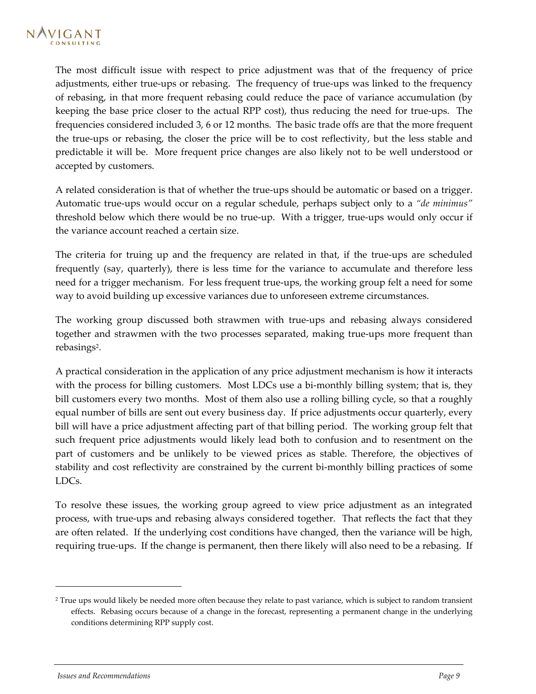The most difficult issue with respect to price adjustment was that of the frequency of price adjustments, either true-ups or rebasing. The frequency of true-ups was linked to the frequency of rebasing, in that more frequent rebasing could reduce the pace of variance accumulation (by keeping the base price closer to the actual RPP cost), thus reducing the need for true-ups. The frequencies considered included 3, 6 or 12 months. The basic trade offs are that the more frequent the true-ups or rebasing, the closer the price will be to cost reflectivity, but the less stable and predictable it will be. More frequent price changes are also likely not to be well understood or accepted by customers.

A related consideration is that of whether the true-ups should be automatic or based on a trigger. Automatic true-ups would occur on a regular schedule, perhaps subject only to a *"de minimus"* threshold below which there would be no true-up. With a trigger, true-ups would only occur if the variance account reached a certain size.

The criteria for truing up and the frequency are related in that, if the true-ups are scheduled frequently (say, quarterly), there is less time for the variance to accumulate and therefore less need for a trigger mechanism. For less frequent true-ups, the working group felt a need for some way to avoid building up excessive variances due to unforeseen extreme circumstances.

The working group discussed both strawmen with true-ups and rebasing always considered together and strawmen with the two processes separated, making true-ups more frequent than rebasings<sup>2</sup>[.](#page-10-0)

A practical consideration in the application of any price adjustment mechanism is how it interacts with the process for billing customers. Most LDCs use a bi-monthly billing system; that is, they bill customers every two months. Most of them also use a rolling billing cycle, so that a roughly equal number of bills are sent out every business day. If price adjustments occur quarterly, every bill will have a price adjustment affecting part of that billing period. The working group felt that such frequent price adjustments would likely lead both to confusion and to resentment on the part of customers and be unlikely to be viewed prices as stable. Therefore, the objectives of stability and cost reflectivity are constrained by the current bi-monthly billing practices of some LDCs.

To resolve these issues, the working group agreed to view price adjustment as an integrated process, with true-ups and rebasing always considered together. That reflects the fact that they are often related. If the underlying cost conditions have changed, then the variance will be high, requiring true-ups. If the change is permanent, then there likely will also need to be a rebasing. If

-

<span id="page-10-0"></span><sup>&</sup>lt;sup>2</sup> True ups would likely be needed more often because they relate to past variance, which is subject to random transient effects. Rebasing occurs because of a change in the forecast, representing a permanent change in the underlying conditions determining RPP supply cost.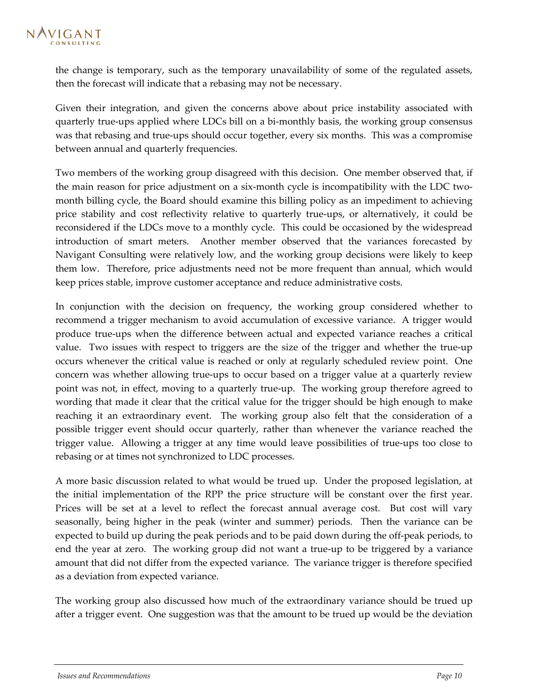the change is temporary, such as the temporary unavailability of some of the regulated assets, then the forecast will indicate that a rebasing may not be necessary.

Given their integration, and given the concerns above about price instability associated with quarterly true-ups applied where LDCs bill on a bi-monthly basis, the working group consensus was that rebasing and true-ups should occur together, every six months. This was a compromise between annual and quarterly frequencies.

Two members of the working group disagreed with this decision. One member observed that, if the main reason for price adjustment on a six-month cycle is incompatibility with the LDC twomonth billing cycle, the Board should examine this billing policy as an impediment to achieving price stability and cost reflectivity relative to quarterly true-ups, or alternatively, it could be reconsidered if the LDCs move to a monthly cycle. This could be occasioned by the widespread introduction of smart meters. Another member observed that the variances forecasted by Navigant Consulting were relatively low, and the working group decisions were likely to keep them low. Therefore, price adjustments need not be more frequent than annual, which would keep prices stable, improve customer acceptance and reduce administrative costs.

In conjunction with the decision on frequency, the working group considered whether to recommend a trigger mechanism to avoid accumulation of excessive variance. A trigger would produce true-ups when the difference between actual and expected variance reaches a critical value. Two issues with respect to triggers are the size of the trigger and whether the true-up occurs whenever the critical value is reached or only at regularly scheduled review point. One concern was whether allowing true-ups to occur based on a trigger value at a quarterly review point was not, in effect, moving to a quarterly true-up. The working group therefore agreed to wording that made it clear that the critical value for the trigger should be high enough to make reaching it an extraordinary event. The working group also felt that the consideration of a possible trigger event should occur quarterly, rather than whenever the variance reached the trigger value. Allowing a trigger at any time would leave possibilities of true-ups too close to rebasing or at times not synchronized to LDC processes.

A more basic discussion related to what would be trued up. Under the proposed legislation, at the initial implementation of the RPP the price structure will be constant over the first year. Prices will be set at a level to reflect the forecast annual average cost. But cost will vary seasonally, being higher in the peak (winter and summer) periods. Then the variance can be expected to build up during the peak periods and to be paid down during the off-peak periods, to end the year at zero. The working group did not want a true-up to be triggered by a variance amount that did not differ from the expected variance. The variance trigger is therefore specified as a deviation from expected variance.

The working group also discussed how much of the extraordinary variance should be trued up after a trigger event. One suggestion was that the amount to be trued up would be the deviation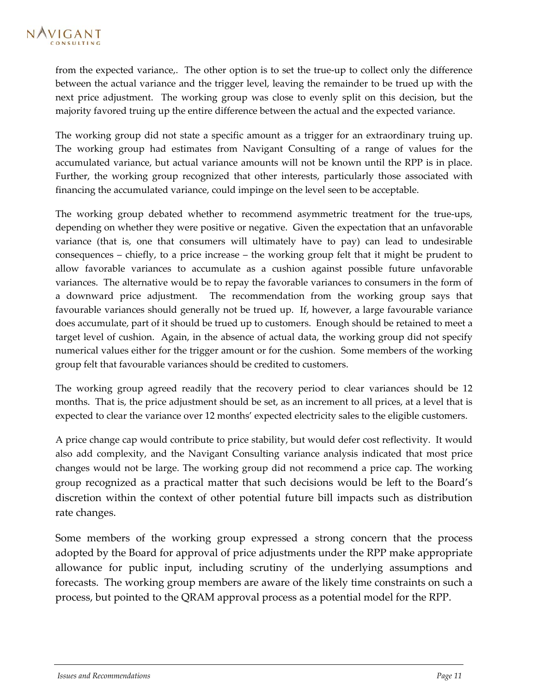from the expected variance,. The other option is to set the true-up to collect only the difference between the actual variance and the trigger level, leaving the remainder to be trued up with the next price adjustment. The working group was close to evenly split on this decision, but the majority favored truing up the entire difference between the actual and the expected variance.

The working group did not state a specific amount as a trigger for an extraordinary truing up. The working group had estimates from Navigant Consulting of a range of values for the accumulated variance, but actual variance amounts will not be known until the RPP is in place. Further, the working group recognized that other interests, particularly those associated with financing the accumulated variance, could impinge on the level seen to be acceptable.

The working group debated whether to recommend asymmetric treatment for the true-ups, depending on whether they were positive or negative. Given the expectation that an unfavorable variance (that is, one that consumers will ultimately have to pay) can lead to undesirable consequences – chiefly, to a price increase – the working group felt that it might be prudent to allow favorable variances to accumulate as a cushion against possible future unfavorable variances. The alternative would be to repay the favorable variances to consumers in the form of a downward price adjustment. The recommendation from the working group says that favourable variances should generally not be trued up. If, however, a large favourable variance does accumulate, part of it should be trued up to customers. Enough should be retained to meet a target level of cushion. Again, in the absence of actual data, the working group did not specify numerical values either for the trigger amount or for the cushion. Some members of the working group felt that favourable variances should be credited to customers.

The working group agreed readily that the recovery period to clear variances should be 12 months. That is, the price adjustment should be set, as an increment to all prices, at a level that is expected to clear the variance over 12 months' expected electricity sales to the eligible customers.

A price change cap would contribute to price stability, but would defer cost reflectivity. It would also add complexity, and the Navigant Consulting variance analysis indicated that most price changes would not be large. The working group did not recommend a price cap. The working group recognized as a practical matter that such decisions would be left to the Board's discretion within the context of other potential future bill impacts such as distribution rate changes.

Some members of the working group expressed a strong concern that the process adopted by the Board for approval of price adjustments under the RPP make appropriate allowance for public input, including scrutiny of the underlying assumptions and forecasts. The working group members are aware of the likely time constraints on such a process, but pointed to the QRAM approval process as a potential model for the RPP.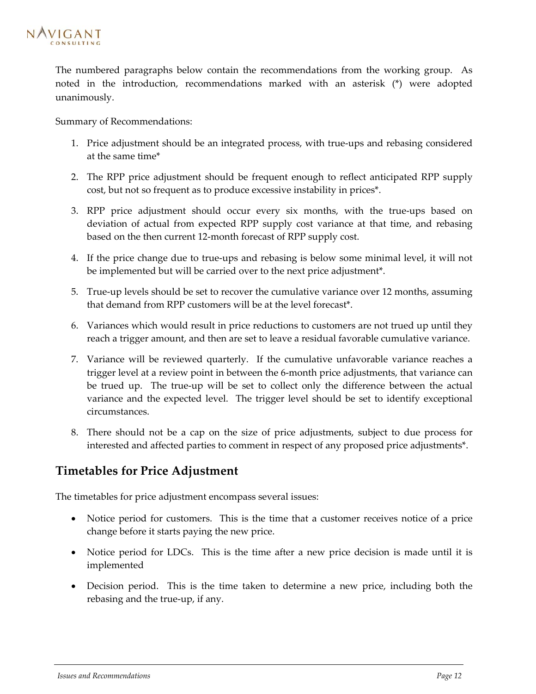<span id="page-13-0"></span>

The numbered paragraphs below contain the recommendations from the working group. As noted in the introduction, recommendations marked with an asterisk (\*) were adopted unanimously.

Summary of Recommendations:

- 1. Price adjustment should be an integrated process, with true-ups and rebasing considered at the same time\*
- 2. The RPP price adjustment should be frequent enough to reflect anticipated RPP supply cost, but not so frequent as to produce excessive instability in prices\*.
- 3. RPP price adjustment should occur every six months, with the true-ups based on deviation of actual from expected RPP supply cost variance at that time, and rebasing based on the then current 12-month forecast of RPP supply cost.
- 4. If the price change due to true-ups and rebasing is below some minimal level, it will not be implemented but will be carried over to the next price adjustment\*.
- 5. True-up levels should be set to recover the cumulative variance over 12 months, assuming that demand from RPP customers will be at the level forecast\*.
- 6. Variances which would result in price reductions to customers are not trued up until they reach a trigger amount, and then are set to leave a residual favorable cumulative variance.
- 7. Variance will be reviewed quarterly. If the cumulative unfavorable variance reaches a trigger level at a review point in between the 6-month price adjustments, that variance can be trued up. The true-up will be set to collect only the difference between the actual variance and the expected level. The trigger level should be set to identify exceptional circumstances.
- 8. There should not be a cap on the size of price adjustments, subject to due process for interested and affected parties to comment in respect of any proposed price adjustments\*.

### **Timetables for Price Adjustment**

The timetables for price adjustment encompass several issues:

- Notice period for customers. This is the time that a customer receives notice of a price change before it starts paying the new price.
- Notice period for LDCs. This is the time after a new price decision is made until it is implemented
- Decision period. This is the time taken to determine a new price, including both the rebasing and the true-up, if any.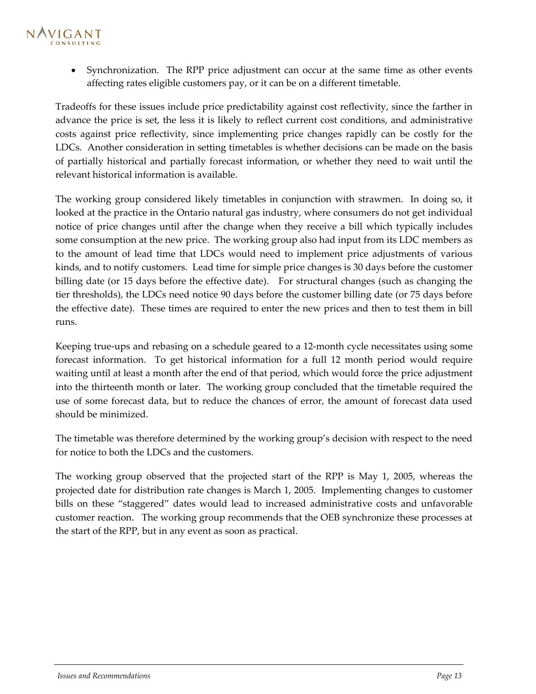## NAVIGANT

• Synchronization. The RPP price adjustment can occur at the same time as other events affecting rates eligible customers pay, or it can be on a different timetable.

Tradeoffs for these issues include price predictability against cost reflectivity, since the farther in advance the price is set, the less it is likely to reflect current cost conditions, and administrative costs against price reflectivity, since implementing price changes rapidly can be costly for the LDCs. Another consideration in setting timetables is whether decisions can be made on the basis of partially historical and partially forecast information, or whether they need to wait until the relevant historical information is available.

The working group considered likely timetables in conjunction with strawmen. In doing so, it looked at the practice in the Ontario natural gas industry, where consumers do not get individual notice of price changes until after the change when they receive a bill which typically includes some consumption at the new price. The working group also had input from its LDC members as to the amount of lead time that LDCs would need to implement price adjustments of various kinds, and to notify customers. Lead time for simple price changes is 30 days before the customer billing date (or 15 days before the effective date). For structural changes (such as changing the tier thresholds), the LDCs need notice 90 days before the customer billing date (or 75 days before the effective date). These times are required to enter the new prices and then to test them in bill runs.

Keeping true-ups and rebasing on a schedule geared to a 12-month cycle necessitates using some forecast information. To get historical information for a full 12 month period would require waiting until at least a month after the end of that period, which would force the price adjustment into the thirteenth month or later. The working group concluded that the timetable required the use of some forecast data, but to reduce the chances of error, the amount of forecast data used should be minimized.

The timetable was therefore determined by the working group's decision with respect to the need for notice to both the LDCs and the customers.

The working group observed that the projected start of the RPP is May 1, 2005, whereas the projected date for distribution rate changes is March 1, 2005. Implementing changes to customer bills on these "staggered" dates would lead to increased administrative costs and unfavorable customer reaction. The working group recommends that the OEB synchronize these processes at the start of the RPP, but in any event as soon as practical.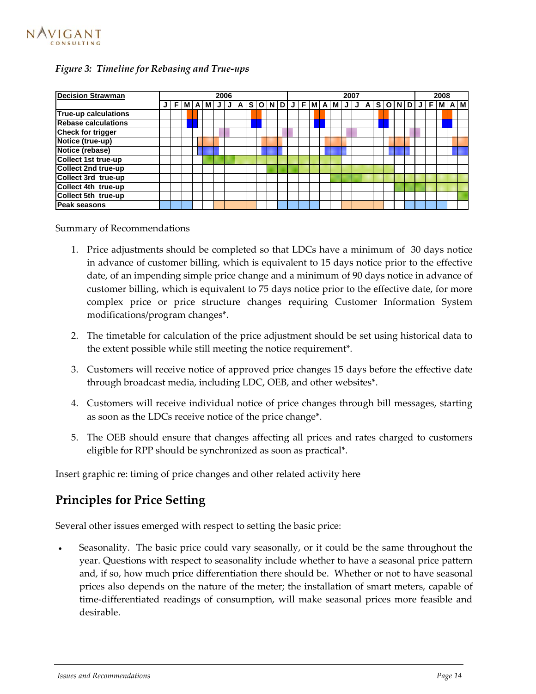<span id="page-15-0"></span>

#### *Figure 3: Timeline for Rebasing and True-ups*

| <b>Decision Strawman</b>    | 2006 |    |  |  |            |   |   |   |          |  | 2007 |   |  |  |  |                 |   |   |       |     |         |  |  |             | 2008 |   |  |     |
|-----------------------------|------|----|--|--|------------|---|---|---|----------|--|------|---|--|--|--|-----------------|---|---|-------|-----|---------|--|--|-------------|------|---|--|-----|
|                             |      | F. |  |  | <b>MAM</b> | J | J | A | <b>S</b> |  |      |   |  |  |  | O N D J F M A M | J |   | J   A | s l | $\circ$ |  |  | $N$ $D$ $J$ | F    | м |  | A M |
| <b>True-up calculations</b> |      |    |  |  |            |   |   |   |          |  |      |   |  |  |  |                 |   |   |       |     |         |  |  |             |      |   |  |     |
| <b>Rebase calculations</b>  |      |    |  |  |            |   |   |   |          |  |      |   |  |  |  |                 |   |   |       |     |         |  |  |             |      |   |  |     |
| <b>Check for trigger</b>    |      |    |  |  |            |   | W |   |          |  | ▦    | ₩ |  |  |  |                 |   | W |       |     |         |  |  | ▓▓          |      |   |  |     |
| Notice (true-up)            |      |    |  |  |            |   |   |   |          |  |      |   |  |  |  |                 |   |   |       |     |         |  |  |             |      |   |  |     |
| Notice (rebase)             |      |    |  |  |            |   |   |   |          |  |      |   |  |  |  |                 |   |   |       |     |         |  |  |             |      |   |  |     |
| Collect 1st true-up         |      |    |  |  |            |   |   |   |          |  |      |   |  |  |  |                 |   |   |       |     |         |  |  |             |      |   |  |     |
| <b>Collect 2nd true-up</b>  |      |    |  |  |            |   |   |   |          |  |      |   |  |  |  |                 |   |   |       |     |         |  |  |             |      |   |  |     |
| Collect 3rd true-up         |      |    |  |  |            |   |   |   |          |  |      |   |  |  |  |                 |   |   |       |     |         |  |  |             |      |   |  |     |
| Collect 4th true-up         |      |    |  |  |            |   |   |   |          |  |      |   |  |  |  |                 |   |   |       |     |         |  |  |             |      |   |  |     |
| Collect 5th true-up         |      |    |  |  |            |   |   |   |          |  |      |   |  |  |  |                 |   |   |       |     |         |  |  |             |      |   |  |     |
| <b>Peak seasons</b>         |      |    |  |  |            |   |   |   |          |  |      |   |  |  |  |                 |   |   |       |     |         |  |  |             |      |   |  |     |

Summary of Recommendations

- 1. Price adjustments should be completed so that LDCs have a minimum of 30 days notice in advance of customer billing, which is equivalent to 15 days notice prior to the effective date, of an impending simple price change and a minimum of 90 days notice in advance of customer billing, which is equivalent to 75 days notice prior to the effective date, for more complex price or price structure changes requiring Customer Information System modifications/program changes\*.
- 2. The timetable for calculation of the price adjustment should be set using historical data to the extent possible while still meeting the notice requirement\*.
- 3. Customers will receive notice of approved price changes 15 days before the effective date through broadcast media, including LDC, OEB, and other websites\*.
- 4. Customers will receive individual notice of price changes through bill messages, starting as soon as the LDCs receive notice of the price change\*.
- 5. The OEB should ensure that changes affecting all prices and rates charged to customers eligible for RPP should be synchronized as soon as practical\*.

Insert graphic re: timing of price changes and other related activity here

## **Principles for Price Setting**

Several other issues emerged with respect to setting the basic price:

• Seasonality. The basic price could vary seasonally, or it could be the same throughout the year. Questions with respect to seasonality include whether to have a seasonal price pattern and, if so, how much price differentiation there should be. Whether or not to have seasonal prices also depends on the nature of the meter; the installation of smart meters, capable of time-differentiated readings of consumption, will make seasonal prices more feasible and desirable.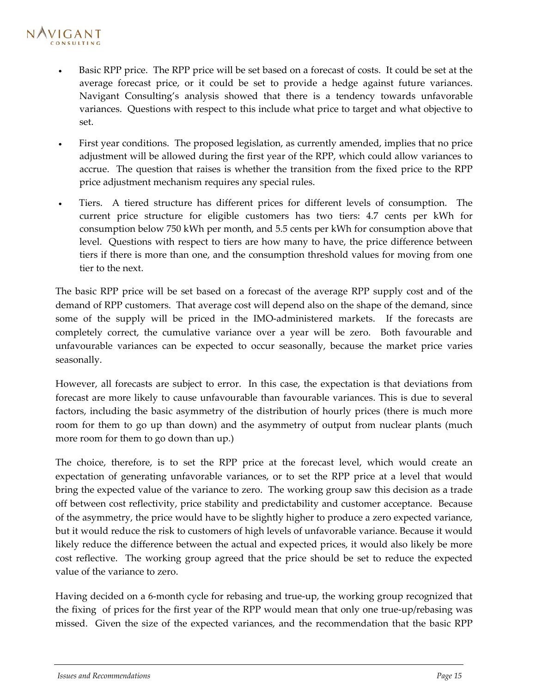## NAVIGANT

- Basic RPP price. The RPP price will be set based on a forecast of costs. It could be set at the average forecast price, or it could be set to provide a hedge against future variances. Navigant Consulting's analysis showed that there is a tendency towards unfavorable variances. Questions with respect to this include what price to target and what objective to set.
- First year conditions. The proposed legislation, as currently amended, implies that no price adjustment will be allowed during the first year of the RPP, which could allow variances to accrue. The question that raises is whether the transition from the fixed price to the RPP price adjustment mechanism requires any special rules.
- Tiers. A tiered structure has different prices for different levels of consumption. The current price structure for eligible customers has two tiers: 4.7 cents per kWh for consumption below 750 kWh per month, and 5.5 cents per kWh for consumption above that level. Questions with respect to tiers are how many to have, the price difference between tiers if there is more than one, and the consumption threshold values for moving from one tier to the next.

The basic RPP price will be set based on a forecast of the average RPP supply cost and of the demand of RPP customers. That average cost will depend also on the shape of the demand, since some of the supply will be priced in the IMO-administered markets. If the forecasts are completely correct, the cumulative variance over a year will be zero. Both favourable and unfavourable variances can be expected to occur seasonally, because the market price varies seasonally.

However, all forecasts are subject to error. In this case, the expectation is that deviations from forecast are more likely to cause unfavourable than favourable variances. This is due to several factors, including the basic asymmetry of the distribution of hourly prices (there is much more room for them to go up than down) and the asymmetry of output from nuclear plants (much more room for them to go down than up.)

The choice, therefore, is to set the RPP price at the forecast level, which would create an expectation of generating unfavorable variances, or to set the RPP price at a level that would bring the expected value of the variance to zero. The working group saw this decision as a trade off between cost reflectivity, price stability and predictability and customer acceptance. Because of the asymmetry, the price would have to be slightly higher to produce a zero expected variance, but it would reduce the risk to customers of high levels of unfavorable variance. Because it would likely reduce the difference between the actual and expected prices, it would also likely be more cost reflective. The working group agreed that the price should be set to reduce the expected value of the variance to zero.

Having decided on a 6-month cycle for rebasing and true-up, the working group recognized that the fixing of prices for the first year of the RPP would mean that only one true-up/rebasing was missed. Given the size of the expected variances, and the recommendation that the basic RPP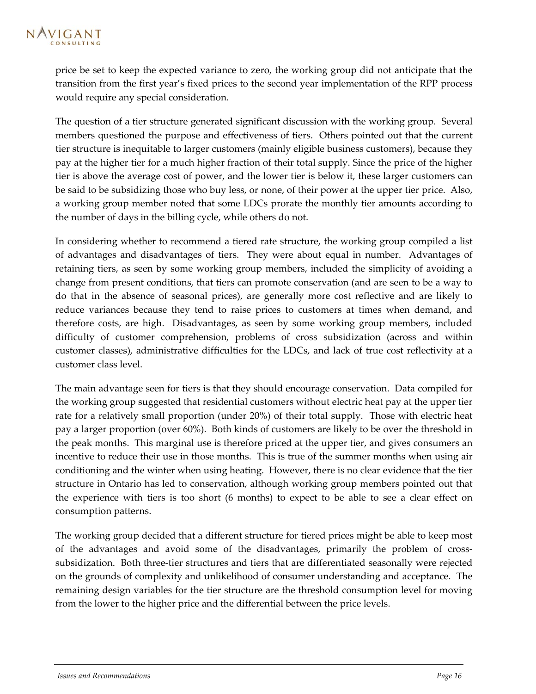price be set to keep the expected variance to zero, the working group did not anticipate that the transition from the first year's fixed prices to the second year implementation of the RPP process would require any special consideration.

The question of a tier structure generated significant discussion with the working group. Several members questioned the purpose and effectiveness of tiers. Others pointed out that the current tier structure is inequitable to larger customers (mainly eligible business customers), because they pay at the higher tier for a much higher fraction of their total supply. Since the price of the higher tier is above the average cost of power, and the lower tier is below it, these larger customers can be said to be subsidizing those who buy less, or none, of their power at the upper tier price. Also, a working group member noted that some LDCs prorate the monthly tier amounts according to the number of days in the billing cycle, while others do not.

In considering whether to recommend a tiered rate structure, the working group compiled a list of advantages and disadvantages of tiers. They were about equal in number. Advantages of retaining tiers, as seen by some working group members, included the simplicity of avoiding a change from present conditions, that tiers can promote conservation (and are seen to be a way to do that in the absence of seasonal prices), are generally more cost reflective and are likely to reduce variances because they tend to raise prices to customers at times when demand, and therefore costs, are high. Disadvantages, as seen by some working group members, included difficulty of customer comprehension, problems of cross subsidization (across and within customer classes), administrative difficulties for the LDCs, and lack of true cost reflectivity at a customer class level.

The main advantage seen for tiers is that they should encourage conservation. Data compiled for the working group suggested that residential customers without electric heat pay at the upper tier rate for a relatively small proportion (under 20%) of their total supply. Those with electric heat pay a larger proportion (over 60%). Both kinds of customers are likely to be over the threshold in the peak months. This marginal use is therefore priced at the upper tier, and gives consumers an incentive to reduce their use in those months. This is true of the summer months when using air conditioning and the winter when using heating. However, there is no clear evidence that the tier structure in Ontario has led to conservation, although working group members pointed out that the experience with tiers is too short (6 months) to expect to be able to see a clear effect on consumption patterns.

The working group decided that a different structure for tiered prices might be able to keep most of the advantages and avoid some of the disadvantages, primarily the problem of crosssubsidization. Both three-tier structures and tiers that are differentiated seasonally were rejected on the grounds of complexity and unlikelihood of consumer understanding and acceptance. The remaining design variables for the tier structure are the threshold consumption level for moving from the lower to the higher price and the differential between the price levels.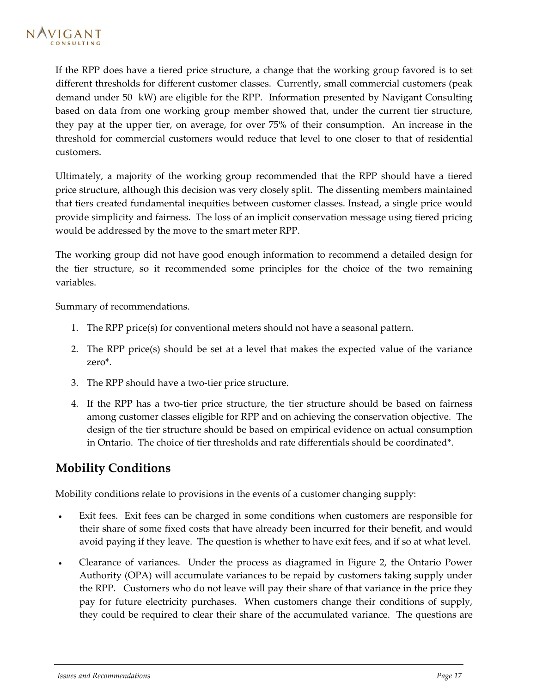<span id="page-18-0"></span>If the RPP does have a tiered price structure, a change that the working group favored is to set different thresholds for different customer classes. Currently, small commercial customers (peak demand under 50 kW) are eligible for the RPP. Information presented by Navigant Consulting based on data from one working group member showed that, under the current tier structure, they pay at the upper tier, on average, for over 75% of their consumption. An increase in the threshold for commercial customers would reduce that level to one closer to that of residential customers.

Ultimately, a majority of the working group recommended that the RPP should have a tiered price structure, although this decision was very closely split. The dissenting members maintained that tiers created fundamental inequities between customer classes. Instead, a single price would provide simplicity and fairness. The loss of an implicit conservation message using tiered pricing would be addressed by the move to the smart meter RPP.

The working group did not have good enough information to recommend a detailed design for the tier structure, so it recommended some principles for the choice of the two remaining variables.

Summary of recommendations.

- 1. The RPP price(s) for conventional meters should not have a seasonal pattern.
- 2. The RPP price(s) should be set at a level that makes the expected value of the variance zero\*.
- 3. The RPP should have a two-tier price structure.
- 4. If the RPP has a two-tier price structure, the tier structure should be based on fairness among customer classes eligible for RPP and on achieving the conservation objective. The design of the tier structure should be based on empirical evidence on actual consumption in Ontario. The choice of tier thresholds and rate differentials should be coordinated\*.

## **Mobility Conditions**

Mobility conditions relate to provisions in the events of a customer changing supply:

- Exit fees. Exit fees can be charged in some conditions when customers are responsible for their share of some fixed costs that have already been incurred for their benefit, and would avoid paying if they leave. The question is whether to have exit fees, and if so at what level.
- Clearance of variances. Under the process as diagramed in [Figure 2,](#page-6-0) the Ontario Power Authority (OPA) will accumulate variances to be repaid by customers taking supply under the RPP. Customers who do not leave will pay their share of that variance in the price they pay for future electricity purchases. When customers change their conditions of supply, they could be required to clear their share of the accumulated variance. The questions are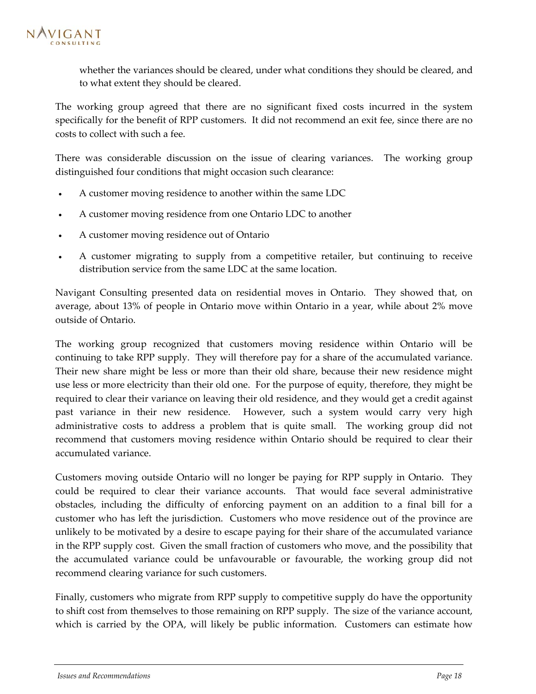whether the variances should be cleared, under what conditions they should be cleared, and to what extent they should be cleared.

The working group agreed that there are no significant fixed costs incurred in the system specifically for the benefit of RPP customers. It did not recommend an exit fee, since there are no costs to collect with such a fee.

There was considerable discussion on the issue of clearing variances. The working group distinguished four conditions that might occasion such clearance:

- A customer moving residence to another within the same LDC
- A customer moving residence from one Ontario LDC to another
- A customer moving residence out of Ontario
- A customer migrating to supply from a competitive retailer, but continuing to receive distribution service from the same LDC at the same location.

Navigant Consulting presented data on residential moves in Ontario. They showed that, on average, about 13% of people in Ontario move within Ontario in a year, while about 2% move outside of Ontario.

The working group recognized that customers moving residence within Ontario will be continuing to take RPP supply. They will therefore pay for a share of the accumulated variance. Their new share might be less or more than their old share, because their new residence might use less or more electricity than their old one. For the purpose of equity, therefore, they might be required to clear their variance on leaving their old residence, and they would get a credit against past variance in their new residence. However, such a system would carry very high administrative costs to address a problem that is quite small. The working group did not recommend that customers moving residence within Ontario should be required to clear their accumulated variance.

Customers moving outside Ontario will no longer be paying for RPP supply in Ontario. They could be required to clear their variance accounts. That would face several administrative obstacles, including the difficulty of enforcing payment on an addition to a final bill for a customer who has left the jurisdiction. Customers who move residence out of the province are unlikely to be motivated by a desire to escape paying for their share of the accumulated variance in the RPP supply cost. Given the small fraction of customers who move, and the possibility that the accumulated variance could be unfavourable or favourable, the working group did not recommend clearing variance for such customers.

Finally, customers who migrate from RPP supply to competitive supply do have the opportunity to shift cost from themselves to those remaining on RPP supply. The size of the variance account, which is carried by the OPA, will likely be public information. Customers can estimate how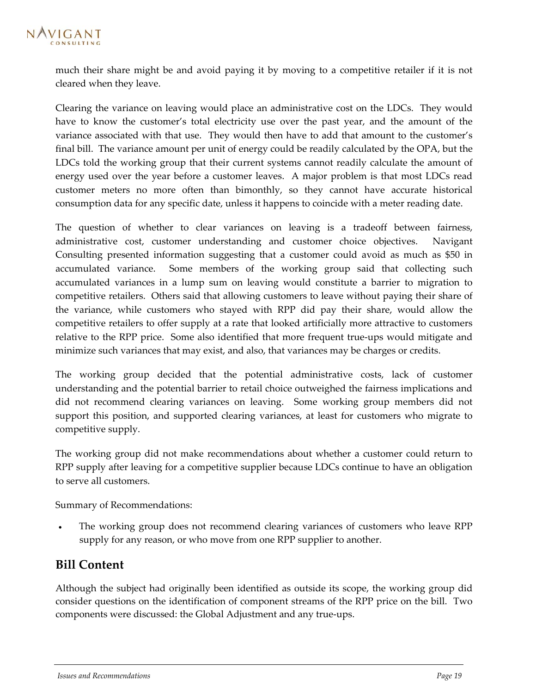<span id="page-20-0"></span>much their share might be and avoid paying it by moving to a competitive retailer if it is not cleared when they leave.

Clearing the variance on leaving would place an administrative cost on the LDCs. They would have to know the customer's total electricity use over the past year, and the amount of the variance associated with that use. They would then have to add that amount to the customer's final bill. The variance amount per unit of energy could be readily calculated by the OPA, but the LDCs told the working group that their current systems cannot readily calculate the amount of energy used over the year before a customer leaves. A major problem is that most LDCs read customer meters no more often than bimonthly, so they cannot have accurate historical consumption data for any specific date, unless it happens to coincide with a meter reading date.

The question of whether to clear variances on leaving is a tradeoff between fairness, administrative cost, customer understanding and customer choice objectives. Navigant Consulting presented information suggesting that a customer could avoid as much as \$50 in accumulated variance. Some members of the working group said that collecting such accumulated variances in a lump sum on leaving would constitute a barrier to migration to competitive retailers. Others said that allowing customers to leave without paying their share of the variance, while customers who stayed with RPP did pay their share, would allow the competitive retailers to offer supply at a rate that looked artificially more attractive to customers relative to the RPP price. Some also identified that more frequent true-ups would mitigate and minimize such variances that may exist, and also, that variances may be charges or credits.

The working group decided that the potential administrative costs, lack of customer understanding and the potential barrier to retail choice outweighed the fairness implications and did not recommend clearing variances on leaving. Some working group members did not support this position, and supported clearing variances, at least for customers who migrate to competitive supply.

The working group did not make recommendations about whether a customer could return to RPP supply after leaving for a competitive supplier because LDCs continue to have an obligation to serve all customers.

Summary of Recommendations:

• The working group does not recommend clearing variances of customers who leave RPP supply for any reason, or who move from one RPP supplier to another.

## **Bill Content**

Although the subject had originally been identified as outside its scope, the working group did consider questions on the identification of component streams of the RPP price on the bill. Two components were discussed: the Global Adjustment and any true-ups.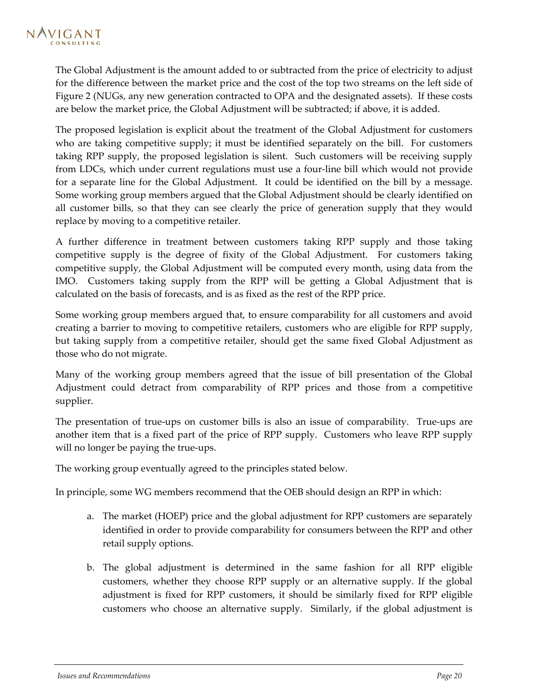The Global Adjustment is the amount added to or subtracted from the price of electricity to adjust for the difference between the market price and the cost of the top two streams on the left side of [Figure 2](#page-6-0) (NUGs, any new generation contracted to OPA and the designated assets). If these costs are below the market price, the Global Adjustment will be subtracted; if above, it is added.

The proposed legislation is explicit about the treatment of the Global Adjustment for customers who are taking competitive supply; it must be identified separately on the bill. For customers taking RPP supply, the proposed legislation is silent. Such customers will be receiving supply from LDCs, which under current regulations must use a four-line bill which would not provide for a separate line for the Global Adjustment. It could be identified on the bill by a message. Some working group members argued that the Global Adjustment should be clearly identified on all customer bills, so that they can see clearly the price of generation supply that they would replace by moving to a competitive retailer.

A further difference in treatment between customers taking RPP supply and those taking competitive supply is the degree of fixity of the Global Adjustment. For customers taking competitive supply, the Global Adjustment will be computed every month, using data from the IMO. Customers taking supply from the RPP will be getting a Global Adjustment that is calculated on the basis of forecasts, and is as fixed as the rest of the RPP price.

Some working group members argued that, to ensure comparability for all customers and avoid creating a barrier to moving to competitive retailers, customers who are eligible for RPP supply, but taking supply from a competitive retailer, should get the same fixed Global Adjustment as those who do not migrate.

Many of the working group members agreed that the issue of bill presentation of the Global Adjustment could detract from comparability of RPP prices and those from a competitive supplier.

The presentation of true-ups on customer bills is also an issue of comparability. True-ups are another item that is a fixed part of the price of RPP supply. Customers who leave RPP supply will no longer be paying the true-ups.

The working group eventually agreed to the principles stated below.

In principle, some WG members recommend that the OEB should design an RPP in which:

- a. The market (HOEP) price and the global adjustment for RPP customers are separately identified in order to provide comparability for consumers between the RPP and other retail supply options.
- b. The global adjustment is determined in the same fashion for all RPP eligible customers, whether they choose RPP supply or an alternative supply. If the global adjustment is fixed for RPP customers, it should be similarly fixed for RPP eligible customers who choose an alternative supply. Similarly, if the global adjustment is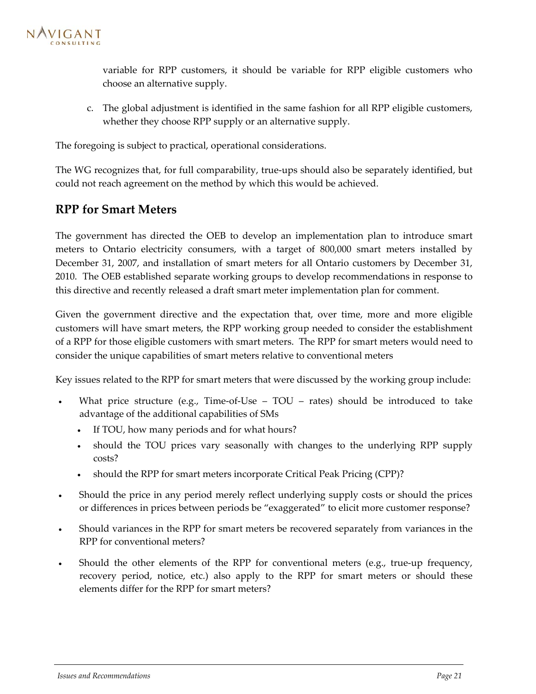<span id="page-22-0"></span>

variable for RPP customers, it should be variable for RPP eligible customers who choose an alternative supply.

c. The global adjustment is identified in the same fashion for all RPP eligible customers, whether they choose RPP supply or an alternative supply.

The foregoing is subject to practical, operational considerations.

The WG recognizes that, for full comparability, true-ups should also be separately identified, but could not reach agreement on the method by which this would be achieved.

### **RPP for Smart Meters**

The government has directed the OEB to develop an implementation plan to introduce smart meters to Ontario electricity consumers, with a target of 800,000 smart meters installed by December 31, 2007, and installation of smart meters for all Ontario customers by December 31, 2010. The OEB established separate working groups to develop recommendations in response to this directive and recently released a draft smart meter implementation plan for comment.

Given the government directive and the expectation that, over time, more and more eligible customers will have smart meters, the RPP working group needed to consider the establishment of a RPP for those eligible customers with smart meters. The RPP for smart meters would need to consider the unique capabilities of smart meters relative to conventional meters

Key issues related to the RPP for smart meters that were discussed by the working group include:

- What price structure (e.g., Time-of-Use  $TOU \text{rates})$  should be introduced to take advantage of the additional capabilities of SMs
	- If TOU, how many periods and for what hours?
	- should the TOU prices vary seasonally with changes to the underlying RPP supply costs?
	- should the RPP for smart meters incorporate Critical Peak Pricing (CPP)?
- Should the price in any period merely reflect underlying supply costs or should the prices or differences in prices between periods be "exaggerated" to elicit more customer response?
- Should variances in the RPP for smart meters be recovered separately from variances in the RPP for conventional meters?
- Should the other elements of the RPP for conventional meters (e.g., true-up frequency, recovery period, notice, etc.) also apply to the RPP for smart meters or should these elements differ for the RPP for smart meters?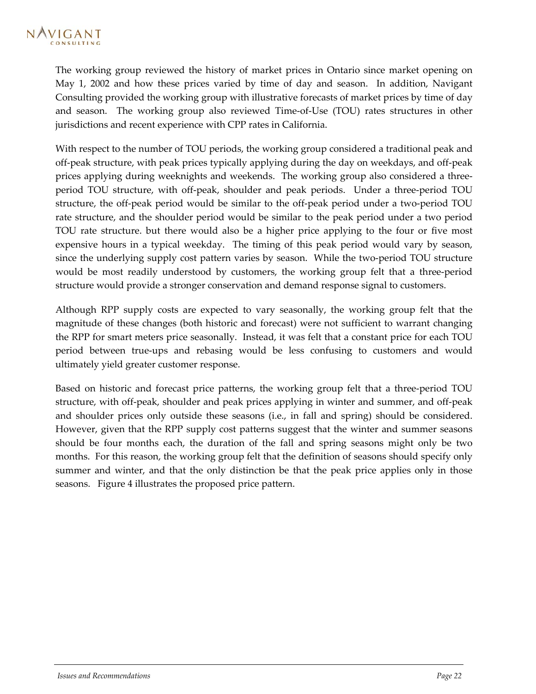The working group reviewed the history of market prices in Ontario since market opening on May 1, 2002 and how these prices varied by time of day and season. In addition, Navigant Consulting provided the working group with illustrative forecasts of market prices by time of day and season. The working group also reviewed Time-of-Use (TOU) rates structures in other jurisdictions and recent experience with CPP rates in California.

With respect to the number of TOU periods, the working group considered a traditional peak and off-peak structure, with peak prices typically applying during the day on weekdays, and off-peak prices applying during weeknights and weekends. The working group also considered a threeperiod TOU structure, with off-peak, shoulder and peak periods. Under a three-period TOU structure, the off-peak period would be similar to the off-peak period under a two-period TOU rate structure, and the shoulder period would be similar to the peak period under a two period TOU rate structure. but there would also be a higher price applying to the four or five most expensive hours in a typical weekday. The timing of this peak period would vary by season, since the underlying supply cost pattern varies by season. While the two-period TOU structure would be most readily understood by customers, the working group felt that a three-period structure would provide a stronger conservation and demand response signal to customers.

Although RPP supply costs are expected to vary seasonally, the working group felt that the magnitude of these changes (both historic and forecast) were not sufficient to warrant changing the RPP for smart meters price seasonally. Instead, it was felt that a constant price for each TOU period between true-ups and rebasing would be less confusing to customers and would ultimately yield greater customer response.

Based on historic and forecast price patterns, the working group felt that a three-period TOU structure, with off-peak, shoulder and peak prices applying in winter and summer, and off-peak and shoulder prices only outside these seasons (i.e., in fall and spring) should be considered. However, given that the RPP supply cost patterns suggest that the winter and summer seasons should be four months each, the duration of the fall and spring seasons might only be two months. For this reason, the working group felt that the definition of seasons should specify only summer and winter, and that the only distinction be that the peak price applies only in those seasons. [Figure 4](#page-24-0) illustrates the proposed price pattern.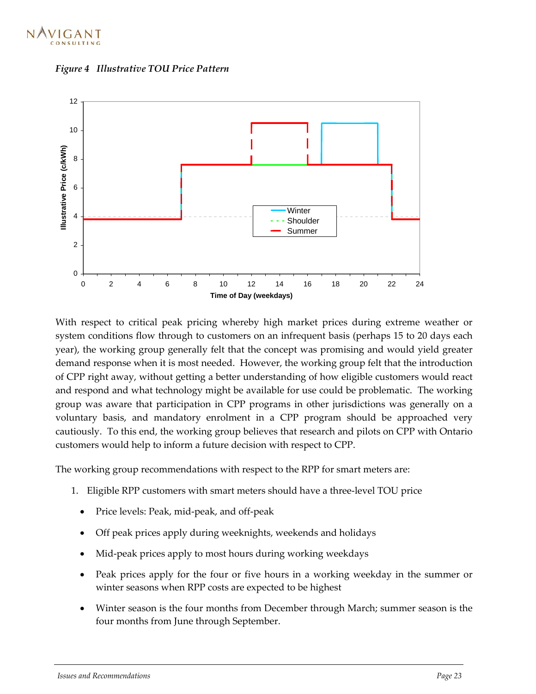

<span id="page-24-0"></span>



With respect to critical peak pricing whereby high market prices during extreme weather or system conditions flow through to customers on an infrequent basis (perhaps 15 to 20 days each year), the working group generally felt that the concept was promising and would yield greater demand response when it is most needed. However, the working group felt that the introduction of CPP right away, without getting a better understanding of how eligible customers would react and respond and what technology might be available for use could be problematic. The working group was aware that participation in CPP programs in other jurisdictions was generally on a voluntary basis, and mandatory enrolment in a CPP program should be approached very cautiously. To this end, the working group believes that research and pilots on CPP with Ontario customers would help to inform a future decision with respect to CPP.

The working group recommendations with respect to the RPP for smart meters are:

- 1. Eligible RPP customers with smart meters should have a three-level TOU price
	- Price levels: Peak, mid-peak, and off-peak
	- Off peak prices apply during weeknights, weekends and holidays
	- Mid-peak prices apply to most hours during working weekdays
	- Peak prices apply for the four or five hours in a working weekday in the summer or winter seasons when RPP costs are expected to be highest
	- Winter season is the four months from December through March; summer season is the four months from June through September.